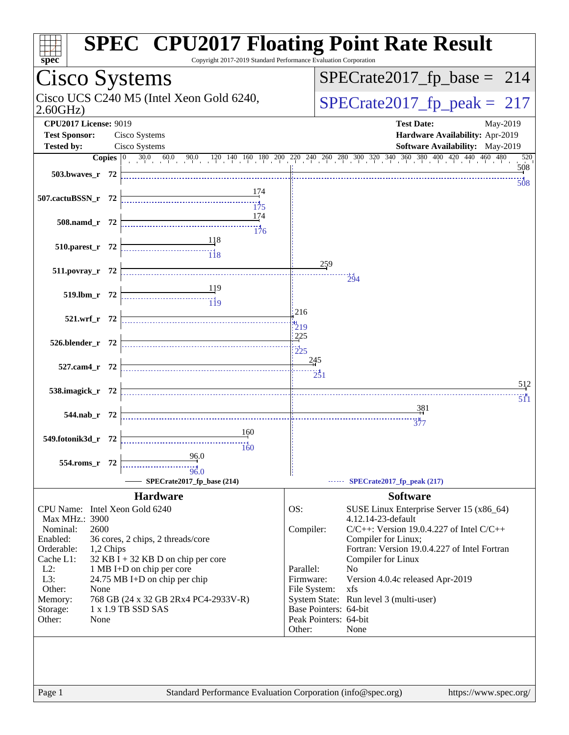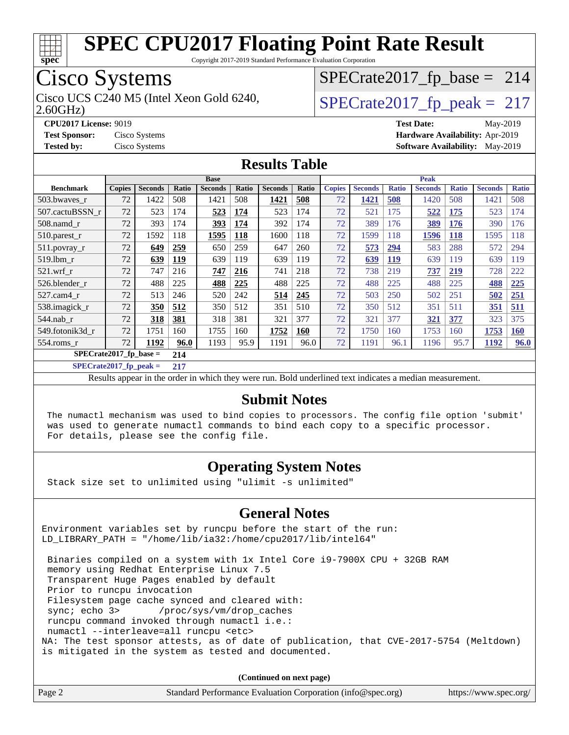

Copyright 2017-2019 Standard Performance Evaluation Corporation

## Cisco Systems

Cisco UCS C240 M5 (Intel Xeon Gold 6240,  $SPECrate2017_fpcak = 217$ 

 $SPECTate2017_fp\_base = 214$ 

2.60GHz)

**[CPU2017 License:](http://www.spec.org/auto/cpu2017/Docs/result-fields.html#CPU2017License)** 9019 **[Test Date:](http://www.spec.org/auto/cpu2017/Docs/result-fields.html#TestDate)** May-2019

**[Test Sponsor:](http://www.spec.org/auto/cpu2017/Docs/result-fields.html#TestSponsor)** Cisco Systems **[Hardware Availability:](http://www.spec.org/auto/cpu2017/Docs/result-fields.html#HardwareAvailability)** Apr-2019 **[Tested by:](http://www.spec.org/auto/cpu2017/Docs/result-fields.html#Testedby)** Cisco Systems **[Software Availability:](http://www.spec.org/auto/cpu2017/Docs/result-fields.html#SoftwareAvailability)** May-2019

#### **[Results Table](http://www.spec.org/auto/cpu2017/Docs/result-fields.html#ResultsTable)**

|                           | <b>Base</b>   |                |       |                |       | <b>Peak</b>    |            |               |                |              |                |              |                |              |
|---------------------------|---------------|----------------|-------|----------------|-------|----------------|------------|---------------|----------------|--------------|----------------|--------------|----------------|--------------|
| <b>Benchmark</b>          | <b>Copies</b> | <b>Seconds</b> | Ratio | <b>Seconds</b> | Ratio | <b>Seconds</b> | Ratio      | <b>Copies</b> | <b>Seconds</b> | <b>Ratio</b> | <b>Seconds</b> | <b>Ratio</b> | <b>Seconds</b> | <b>Ratio</b> |
| 503.bwayes_r              | 72            | 1422           | 508   | 1421           | 508   | 1421           | 508        | 72            | 1421           | 508          | 1420           | 508          | 1421           | 508          |
| 507.cactuBSSN r           | 72            | 523            | 174   | 523            | 174   | 523            | 174        | 72            | 521            | 175          | 522            | <b>175</b>   | 523            | 174          |
| $508$ .namd $r$           | 72            | 393            | 174   | 393            | 174   | 392            | 174        | 72            | 389            | 176          | 389            | 176          | 390            | 176          |
| $510.parest_r$            | 72            | 1592           | 118   | 1595           | 118   | 1600           | 118        | 72            | 1599           | 118          | 1596           | 118          | 1595           | 118          |
| 511.povray_r              | 72            | 649            | 259   | 650            | 259   | 647            | 260        | 72            | 573            | 294          | 583            | 288          | 572            | 294          |
| 519.lbm r                 | 72            | 639            | 119   | 639            | 119   | 639            | 119        | 72            | 639            | <u>119</u>   | 639            | 119          | 639            | 119          |
| $521$ .wrf r              | 72            | 747            | 216   | 747            | 216   | 741            | 218        | 72            | 738            | 219          | 737            | 219          | 728            | 222          |
| 526.blender r             | 72            | 488            | 225   | 488            | 225   | 488            | 225        | 72            | 488            | 225          | 488            | 225          | 488            | 225          |
| $527.cam4$ _r             | 72            | 513            | 246   | 520            | 242   | 514            | 245        | 72            | 503            | 250          | 502            | 251          | 502            | 251          |
| 538.imagick_r             | 72            | 350            | 512   | 350            | 512   | 351            | 510        | 72            | 350            | 512          | 351            | 511          | 351            | <u>511</u>   |
| 544.nab r                 | 72            | 318            | 381   | 318            | 381   | 321            | 377        | 72            | 321            | 377          | 321            | 377          | 323            | 375          |
| 549.fotonik3d_r           | 72            | 1751           | 160   | 1755           | 160   | 1752           | <b>160</b> | 72            | 1750           | 160          | 1753           | 160          | 1753           | <b>160</b>   |
| 554.roms r                | 72            | 1192           | 96.0  | 1193           | 95.9  | 1191           | 96.0       | 72            | 1191           | 96.1         | 1196           | 95.7         | 1192           | <b>96.0</b>  |
| $SPECrate2017_fp\_base =$ |               |                | 214   |                |       |                |            |               |                |              |                |              |                |              |

**[SPECrate2017\\_fp\\_peak =](http://www.spec.org/auto/cpu2017/Docs/result-fields.html#SPECrate2017fppeak) 217**

Results appear in the [order in which they were run.](http://www.spec.org/auto/cpu2017/Docs/result-fields.html#RunOrder) Bold underlined text [indicates a median measurement.](http://www.spec.org/auto/cpu2017/Docs/result-fields.html#Median)

#### **[Submit Notes](http://www.spec.org/auto/cpu2017/Docs/result-fields.html#SubmitNotes)**

 The numactl mechanism was used to bind copies to processors. The config file option 'submit' was used to generate numactl commands to bind each copy to a specific processor. For details, please see the config file.

### **[Operating System Notes](http://www.spec.org/auto/cpu2017/Docs/result-fields.html#OperatingSystemNotes)**

Stack size set to unlimited using "ulimit -s unlimited"

### **[General Notes](http://www.spec.org/auto/cpu2017/Docs/result-fields.html#GeneralNotes)**

Environment variables set by runcpu before the start of the run: LD\_LIBRARY\_PATH = "/home/lib/ia32:/home/cpu2017/lib/intel64"

 Binaries compiled on a system with 1x Intel Core i9-7900X CPU + 32GB RAM memory using Redhat Enterprise Linux 7.5 Transparent Huge Pages enabled by default Prior to runcpu invocation Filesystem page cache synced and cleared with: sync; echo 3> /proc/sys/vm/drop\_caches runcpu command invoked through numactl i.e.: numactl --interleave=all runcpu <etc> NA: The test sponsor attests, as of date of publication, that CVE-2017-5754 (Meltdown) is mitigated in the system as tested and documented.

**(Continued on next page)**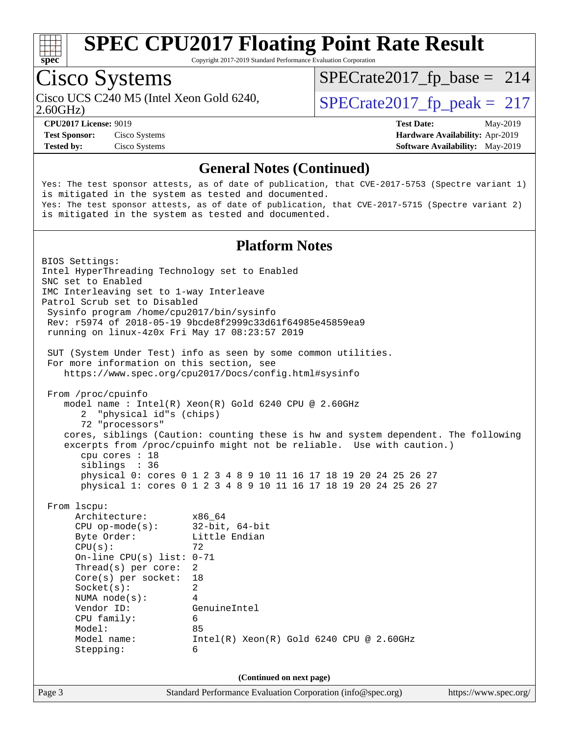

Copyright 2017-2019 Standard Performance Evaluation Corporation

## Cisco Systems

Cisco UCS C240 M5 (Intel Xeon Gold 6240,  $\vert$ [SPECrate2017\\_fp\\_peak =](http://www.spec.org/auto/cpu2017/Docs/result-fields.html#SPECrate2017fppeak) 217

[SPECrate2017\\_fp\\_base =](http://www.spec.org/auto/cpu2017/Docs/result-fields.html#SPECrate2017fpbase) 214

2.60GHz)

**[Test Sponsor:](http://www.spec.org/auto/cpu2017/Docs/result-fields.html#TestSponsor)** Cisco Systems **[Hardware Availability:](http://www.spec.org/auto/cpu2017/Docs/result-fields.html#HardwareAvailability)** Apr-2019

**[CPU2017 License:](http://www.spec.org/auto/cpu2017/Docs/result-fields.html#CPU2017License)** 9019 **[Test Date:](http://www.spec.org/auto/cpu2017/Docs/result-fields.html#TestDate)** May-2019

**[Tested by:](http://www.spec.org/auto/cpu2017/Docs/result-fields.html#Testedby)** Cisco Systems **[Software Availability:](http://www.spec.org/auto/cpu2017/Docs/result-fields.html#SoftwareAvailability)** May-2019

#### **[General Notes \(Continued\)](http://www.spec.org/auto/cpu2017/Docs/result-fields.html#GeneralNotes)**

Yes: The test sponsor attests, as of date of publication, that CVE-2017-5753 (Spectre variant 1) is mitigated in the system as tested and documented. Yes: The test sponsor attests, as of date of publication, that CVE-2017-5715 (Spectre variant 2) is mitigated in the system as tested and documented.

#### **[Platform Notes](http://www.spec.org/auto/cpu2017/Docs/result-fields.html#PlatformNotes)**

Page 3 Standard Performance Evaluation Corporation [\(info@spec.org\)](mailto:info@spec.org) <https://www.spec.org/> BIOS Settings: Intel HyperThreading Technology set to Enabled SNC set to Enabled IMC Interleaving set to 1-way Interleave Patrol Scrub set to Disabled Sysinfo program /home/cpu2017/bin/sysinfo Rev: r5974 of 2018-05-19 9bcde8f2999c33d61f64985e45859ea9 running on linux-4z0x Fri May 17 08:23:57 2019 SUT (System Under Test) info as seen by some common utilities. For more information on this section, see <https://www.spec.org/cpu2017/Docs/config.html#sysinfo> From /proc/cpuinfo model name : Intel(R) Xeon(R) Gold 6240 CPU @ 2.60GHz 2 "physical id"s (chips) 72 "processors" cores, siblings (Caution: counting these is hw and system dependent. The following excerpts from /proc/cpuinfo might not be reliable. Use with caution.) cpu cores : 18 siblings : 36 physical 0: cores 0 1 2 3 4 8 9 10 11 16 17 18 19 20 24 25 26 27 physical 1: cores 0 1 2 3 4 8 9 10 11 16 17 18 19 20 24 25 26 27 From lscpu: Architecture: x86\_64 CPU op-mode(s): 32-bit, 64-bit Byte Order: Little Endian  $CPU(s):$  72 On-line CPU(s) list: 0-71 Thread(s) per core: 2 Core(s) per socket: 18 Socket(s): 2 NUMA node(s): 4 Vendor ID: GenuineIntel CPU family: 6 Model: 85 Model name: Intel(R) Xeon(R) Gold 6240 CPU @ 2.60GHz Stepping: 6 **(Continued on next page)**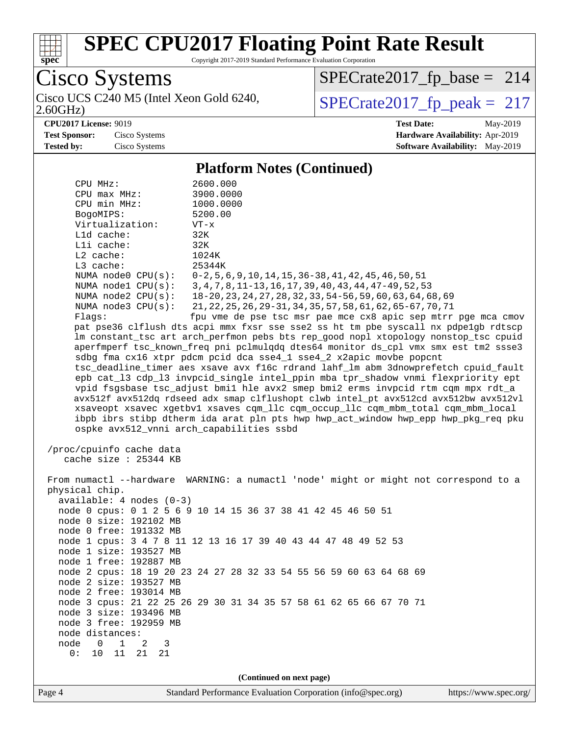

Copyright 2017-2019 Standard Performance Evaluation Corporation

Cisco Systems

2.60GHz) Cisco UCS C240 M5 (Intel Xeon Gold 6240,  $SPECrate2017_fp\_peak = 217$ 

[SPECrate2017\\_fp\\_base =](http://www.spec.org/auto/cpu2017/Docs/result-fields.html#SPECrate2017fpbase) 214

**[CPU2017 License:](http://www.spec.org/auto/cpu2017/Docs/result-fields.html#CPU2017License)** 9019 **[Test Date:](http://www.spec.org/auto/cpu2017/Docs/result-fields.html#TestDate)** May-2019 **[Test Sponsor:](http://www.spec.org/auto/cpu2017/Docs/result-fields.html#TestSponsor)** Cisco Systems **[Hardware Availability:](http://www.spec.org/auto/cpu2017/Docs/result-fields.html#HardwareAvailability)** Apr-2019 **[Tested by:](http://www.spec.org/auto/cpu2017/Docs/result-fields.html#Testedby)** Cisco Systems **[Software Availability:](http://www.spec.org/auto/cpu2017/Docs/result-fields.html#SoftwareAvailability)** May-2019

#### **[Platform Notes \(Continued\)](http://www.spec.org/auto/cpu2017/Docs/result-fields.html#PlatformNotes)**

| CPU MHz:                                                       | 2600.000                                                                             |  |  |  |  |
|----------------------------------------------------------------|--------------------------------------------------------------------------------------|--|--|--|--|
| $CPU$ $max$ $MHz$ :                                            | 3900.0000                                                                            |  |  |  |  |
| CPU min MHz:                                                   | 1000.0000                                                                            |  |  |  |  |
| BogoMIPS:                                                      | 5200.00                                                                              |  |  |  |  |
| Virtualization:                                                | VT-x                                                                                 |  |  |  |  |
| L1d cache:                                                     | 32K                                                                                  |  |  |  |  |
| Lli cache:                                                     | 32K                                                                                  |  |  |  |  |
| $L2$ cache:                                                    | 1024K                                                                                |  |  |  |  |
| L3 cache:                                                      | 25344K                                                                               |  |  |  |  |
| NUMA $node0$ $CPU(s)$ :                                        | $0-2, 5, 6, 9, 10, 14, 15, 36-38, 41, 42, 45, 46, 50, 51$                            |  |  |  |  |
| NUMA $node1$ $CPU(s)$ :                                        | 3, 4, 7, 8, 11-13, 16, 17, 39, 40, 43, 44, 47-49, 52, 53                             |  |  |  |  |
| NUMA node2 CPU(s):                                             | 18-20, 23, 24, 27, 28, 32, 33, 54-56, 59, 60, 63, 64, 68, 69                         |  |  |  |  |
| NUMA $node3$ $CPU(s)$ :                                        | 21, 22, 25, 26, 29-31, 34, 35, 57, 58, 61, 62, 65-67, 70, 71                         |  |  |  |  |
| Flags:                                                         | fpu vme de pse tsc msr pae mce cx8 apic sep mtrr pge mca cmov                        |  |  |  |  |
|                                                                | pat pse36 clflush dts acpi mmx fxsr sse sse2 ss ht tm pbe syscall nx pdpelgb rdtscp  |  |  |  |  |
|                                                                | lm constant_tsc art arch_perfmon pebs bts rep_good nopl xtopology nonstop_tsc cpuid  |  |  |  |  |
|                                                                | aperfmperf tsc_known_freq pni pclmulqdq dtes64 monitor ds_cpl vmx smx est tm2 ssse3  |  |  |  |  |
|                                                                | sdbg fma cx16 xtpr pdcm pcid dca sse4_1 sse4_2 x2apic movbe popcnt                   |  |  |  |  |
|                                                                | tsc_deadline_timer aes xsave avx f16c rdrand lahf_lm abm 3dnowprefetch cpuid_fault   |  |  |  |  |
|                                                                | epb cat_13 cdp_13 invpcid_single intel_ppin mba tpr_shadow vnmi flexpriority ept     |  |  |  |  |
|                                                                | vpid fsgsbase tsc_adjust bmil hle avx2 smep bmi2 erms invpcid rtm cqm mpx rdt_a      |  |  |  |  |
|                                                                | avx512f avx512dq rdseed adx smap clflushopt clwb intel_pt avx512cd avx512bw avx512vl |  |  |  |  |
|                                                                | xsaveopt xsavec xgetbvl xsaves cqm_llc cqm_occup_llc cqm_mbm_total cqm_mbm_local     |  |  |  |  |
|                                                                | ibpb ibrs stibp dtherm ida arat pln pts hwp hwp_act_window hwp_epp hwp_pkg_req pku   |  |  |  |  |
| ospke avx512_vnni arch_capabilities ssbd                       |                                                                                      |  |  |  |  |
|                                                                |                                                                                      |  |  |  |  |
| /proc/cpuinfo cache data                                       |                                                                                      |  |  |  |  |
| cache size : 25344 KB                                          |                                                                                      |  |  |  |  |
|                                                                |                                                                                      |  |  |  |  |
|                                                                | From numactl --hardware WARNING: a numactl 'node' might or might not correspond to a |  |  |  |  |
|                                                                | physical chip.                                                                       |  |  |  |  |
| $available: 4 nodes (0-3)$                                     |                                                                                      |  |  |  |  |
| node 0 cpus: 0 1 2 5 6 9 10 14 15 36 37 38 41 42 45 46 50 51   |                                                                                      |  |  |  |  |
| node 0 size: 192102 MB                                         |                                                                                      |  |  |  |  |
| node 0 free: 191332 MB                                         |                                                                                      |  |  |  |  |
| node 1 cpus: 3 4 7 8 11 12 13 16 17 39 40 43 44 47 48 49 52 53 |                                                                                      |  |  |  |  |
| node 1 size: 193527 MB                                         |                                                                                      |  |  |  |  |
| node 1 free: 192887 MB                                         |                                                                                      |  |  |  |  |
| node 2 size: 193527 MB                                         | node 2 cpus: 18 19 20 23 24 27 28 32 33 54 55 56 59 60 63 64 68 69                   |  |  |  |  |
| node 2 free: 193014 MB                                         |                                                                                      |  |  |  |  |
|                                                                | node 3 cpus: 21 22 25 26 29 30 31 34 35 57 58 61 62 65 66 67 70 71                   |  |  |  |  |
| node 3 size: 193496 MB                                         |                                                                                      |  |  |  |  |
| node 3 free: 192959 MB                                         |                                                                                      |  |  |  |  |
| node distances:                                                |                                                                                      |  |  |  |  |
| node<br>1<br>0<br>2<br>3                                       |                                                                                      |  |  |  |  |
| 0:<br>11<br>10<br>21<br>21                                     |                                                                                      |  |  |  |  |
|                                                                |                                                                                      |  |  |  |  |
|                                                                |                                                                                      |  |  |  |  |
| (Continued on next page)                                       |                                                                                      |  |  |  |  |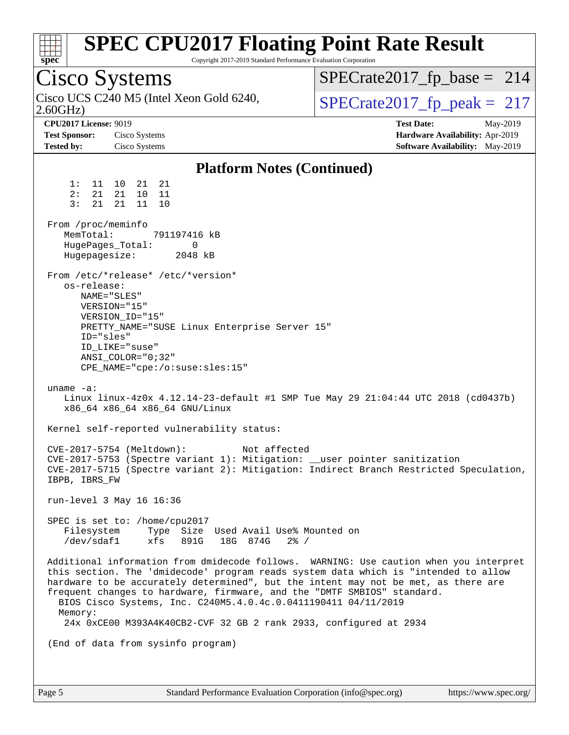| <b>SPEC CPU2017 Floating Point Rate Result</b><br>Copyright 2017-2019 Standard Performance Evaluation Corporation<br>spec <sup>®</sup>                                                                                                                                                                                                                                                                                                                                                           |                                                                                                     |
|--------------------------------------------------------------------------------------------------------------------------------------------------------------------------------------------------------------------------------------------------------------------------------------------------------------------------------------------------------------------------------------------------------------------------------------------------------------------------------------------------|-----------------------------------------------------------------------------------------------------|
| Cisco Systems                                                                                                                                                                                                                                                                                                                                                                                                                                                                                    | $SPECrate2017_fp\_base = 214$                                                                       |
| Cisco UCS C240 M5 (Intel Xeon Gold 6240,<br>2.60GHz                                                                                                                                                                                                                                                                                                                                                                                                                                              | $SPECrate2017_fp\_peak = 217$                                                                       |
| <b>CPU2017 License: 9019</b><br><b>Test Sponsor:</b><br>Cisco Systems<br><b>Tested by:</b><br>Cisco Systems                                                                                                                                                                                                                                                                                                                                                                                      | <b>Test Date:</b><br>May-2019<br>Hardware Availability: Apr-2019<br>Software Availability: May-2019 |
| <b>Platform Notes (Continued)</b>                                                                                                                                                                                                                                                                                                                                                                                                                                                                |                                                                                                     |
| 1:<br>11<br>10<br>21 21<br>21<br>10 11<br>2:<br>21<br>21<br>21<br>11 10<br>3:                                                                                                                                                                                                                                                                                                                                                                                                                    |                                                                                                     |
| From /proc/meminfo<br>MemTotal:<br>791197416 kB<br>HugePages_Total:<br>0<br>Hugepagesize:<br>2048 kB                                                                                                                                                                                                                                                                                                                                                                                             |                                                                                                     |
| From /etc/*release* /etc/*version*<br>os-release:<br>NAME="SLES"<br>VERSION="15"<br>VERSION_ID="15"<br>PRETTY_NAME="SUSE Linux Enterprise Server 15"<br>ID="sles"<br>ID LIKE="suse"<br>$ANSI$ _COLOR="0;32"<br>CPE_NAME="cpe:/o:suse:sles:15"                                                                                                                                                                                                                                                    |                                                                                                     |
| uname $-a$ :<br>Linux linux-4z0x 4.12.14-23-default #1 SMP Tue May 29 21:04:44 UTC 2018 (cd0437b)<br>x86_64 x86_64 x86_64 GNU/Linux                                                                                                                                                                                                                                                                                                                                                              |                                                                                                     |
| Kernel self-reported vulnerability status:                                                                                                                                                                                                                                                                                                                                                                                                                                                       |                                                                                                     |
| CVE-2017-5754 (Meltdown):<br>Not affected<br>CVE-2017-5753 (Spectre variant 1): Mitigation: __user pointer sanitization<br>CVE-2017-5715 (Spectre variant 2): Mitigation: Indirect Branch Restricted Speculation,<br>IBPB, IBRS FW                                                                                                                                                                                                                                                               |                                                                                                     |
| run-level 3 May 16 16:36                                                                                                                                                                                                                                                                                                                                                                                                                                                                         |                                                                                                     |
| SPEC is set to: /home/cpu2017<br>Filesystem<br>Type Size Used Avail Use% Mounted on<br>/dev/sdaf1<br>xfs<br>891G<br>18G 874G 2% /                                                                                                                                                                                                                                                                                                                                                                |                                                                                                     |
| Additional information from dmidecode follows. WARNING: Use caution when you interpret<br>this section. The 'dmidecode' program reads system data which is "intended to allow<br>hardware to be accurately determined", but the intent may not be met, as there are<br>frequent changes to hardware, firmware, and the "DMTF SMBIOS" standard.<br>BIOS Cisco Systems, Inc. C240M5.4.0.4c.0.0411190411 04/11/2019<br>Memory:<br>24x 0xCE00 M393A4K40CB2-CVF 32 GB 2 rank 2933, configured at 2934 |                                                                                                     |
| (End of data from sysinfo program)                                                                                                                                                                                                                                                                                                                                                                                                                                                               |                                                                                                     |
|                                                                                                                                                                                                                                                                                                                                                                                                                                                                                                  |                                                                                                     |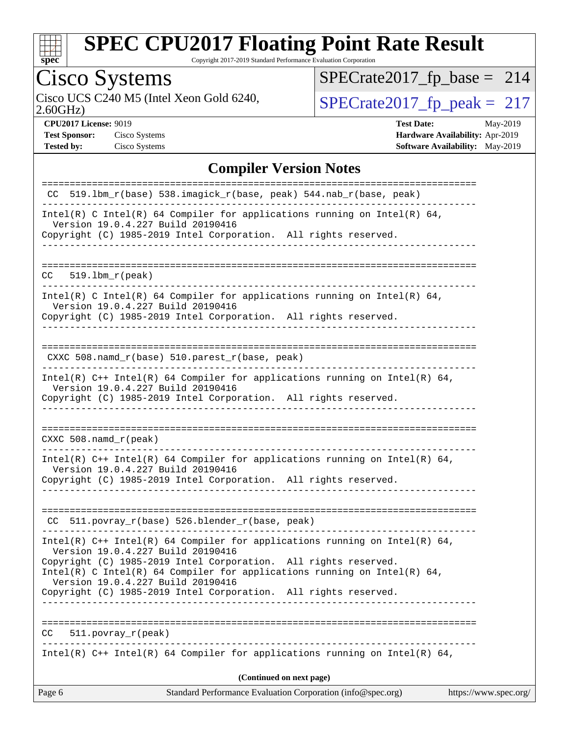

Copyright 2017-2019 Standard Performance Evaluation Corporation

# Cisco Systems

2.60GHz) Cisco UCS C240 M5 (Intel Xeon Gold 6240,  $SPECrate2017_fp\_peak = 217$ 

[SPECrate2017\\_fp\\_base =](http://www.spec.org/auto/cpu2017/Docs/result-fields.html#SPECrate2017fpbase) 214

**[Test Sponsor:](http://www.spec.org/auto/cpu2017/Docs/result-fields.html#TestSponsor)** Cisco Systems **[Hardware Availability:](http://www.spec.org/auto/cpu2017/Docs/result-fields.html#HardwareAvailability)** Apr-2019

**[CPU2017 License:](http://www.spec.org/auto/cpu2017/Docs/result-fields.html#CPU2017License)** 9019 **[Test Date:](http://www.spec.org/auto/cpu2017/Docs/result-fields.html#TestDate)** May-2019 **[Tested by:](http://www.spec.org/auto/cpu2017/Docs/result-fields.html#Testedby)** Cisco Systems **[Software Availability:](http://www.spec.org/auto/cpu2017/Docs/result-fields.html#SoftwareAvailability)** May-2019

### **[Compiler Version Notes](http://www.spec.org/auto/cpu2017/Docs/result-fields.html#CompilerVersionNotes)**

| Page 6                        | Standard Performance Evaluation Corporation (info@spec.org)                                                                                                                          | https://www.spec.org/ |  |
|-------------------------------|--------------------------------------------------------------------------------------------------------------------------------------------------------------------------------------|-----------------------|--|
| (Continued on next page)      |                                                                                                                                                                                      |                       |  |
|                               | Intel(R) $C++$ Intel(R) 64 Compiler for applications running on Intel(R) 64,                                                                                                         |                       |  |
| $511. povray_r (peak)$<br>CC. |                                                                                                                                                                                      |                       |  |
|                               | Copyright (C) 1985-2019 Intel Corporation. All rights reserved.                                                                                                                      |                       |  |
|                               | Copyright (C) 1985-2019 Intel Corporation. All rights reserved.<br>Intel(R) C Intel(R) 64 Compiler for applications running on Intel(R) 64,<br>Version 19.0.4.227 Build 20190416     |                       |  |
|                               | Intel(R) $C++$ Intel(R) 64 Compiler for applications running on Intel(R) 64,<br>Version 19.0.4.227 Build 20190416                                                                    |                       |  |
|                               | CC 511.povray_r(base) 526.blender_r(base, peak)                                                                                                                                      |                       |  |
|                               | Intel(R) $C++$ Intel(R) 64 Compiler for applications running on Intel(R) 64,<br>Version 19.0.4.227 Build 20190416<br>Copyright (C) 1985-2019 Intel Corporation. All rights reserved. |                       |  |
| CXXC 508.namd r (peak)        |                                                                                                                                                                                      |                       |  |
|                               | Version 19.0.4.227 Build 20190416<br>Copyright (C) 1985-2019 Intel Corporation. All rights reserved.                                                                                 |                       |  |
|                               | Intel(R) $C++$ Intel(R) 64 Compiler for applications running on Intel(R) 64,                                                                                                         |                       |  |
|                               | $CXXC 508.namd_r(base) 510.parest_r(base, peak)$                                                                                                                                     |                       |  |
|                               | Version 19.0.4.227 Build 20190416<br>Copyright (C) 1985-2019 Intel Corporation. All rights reserved.                                                                                 |                       |  |
|                               | Intel(R) C Intel(R) 64 Compiler for applications running on Intel(R) 64,                                                                                                             |                       |  |
| $CC = 519.1bm_r (peak)$       |                                                                                                                                                                                      |                       |  |
|                               | Copyright (C) 1985-2019 Intel Corporation. All rights reserved.                                                                                                                      |                       |  |
|                               | Intel(R) C Intel(R) 64 Compiler for applications running on Intel(R) 64,<br>Version 19.0.4.227 Build 20190416                                                                        |                       |  |
|                               | CC 519.1bm $r(base)$ 538.imagick $r(base, peak)$ 544.nab $r(base, peak)$                                                                                                             |                       |  |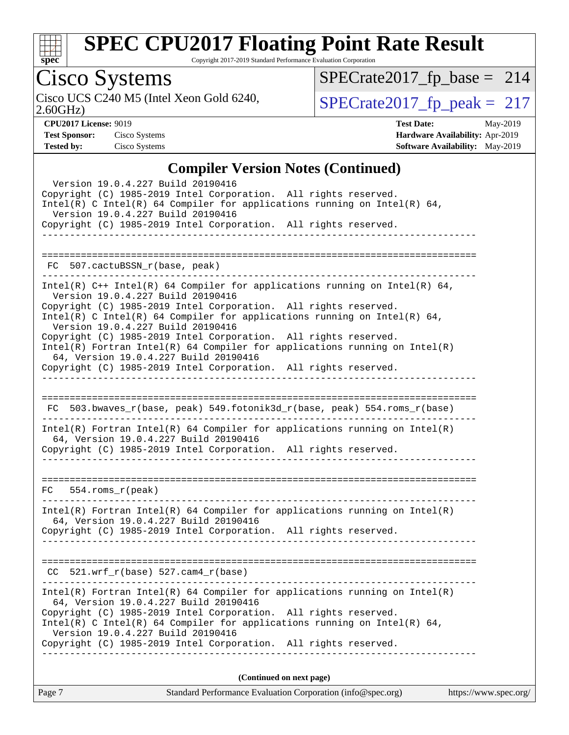

Copyright 2017-2019 Standard Performance Evaluation Corporation

## Cisco Systems

2.60GHz)

[SPECrate2017\\_fp\\_base =](http://www.spec.org/auto/cpu2017/Docs/result-fields.html#SPECrate2017fpbase) 214

Cisco UCS C240 M5 (Intel Xeon Gold 6240,  $SPECrate2017_fp\_peak = 217$ 

**[CPU2017 License:](http://www.spec.org/auto/cpu2017/Docs/result-fields.html#CPU2017License)** 9019 **[Test Date:](http://www.spec.org/auto/cpu2017/Docs/result-fields.html#TestDate)** May-2019 **[Test Sponsor:](http://www.spec.org/auto/cpu2017/Docs/result-fields.html#TestSponsor)** Cisco Systems **[Hardware Availability:](http://www.spec.org/auto/cpu2017/Docs/result-fields.html#HardwareAvailability)** Apr-2019 **[Tested by:](http://www.spec.org/auto/cpu2017/Docs/result-fields.html#Testedby)** Cisco Systems **[Software Availability:](http://www.spec.org/auto/cpu2017/Docs/result-fields.html#SoftwareAvailability)** May-2019

#### **[Compiler Version Notes \(Continued\)](http://www.spec.org/auto/cpu2017/Docs/result-fields.html#CompilerVersionNotes)**

| Version 19.0.4.227 Build 20190416<br>Copyright (C) 1985-2019 Intel Corporation. All rights reserved.                                                                                     |  |
|------------------------------------------------------------------------------------------------------------------------------------------------------------------------------------------|--|
| Intel(R) C Intel(R) 64 Compiler for applications running on Intel(R) 64,                                                                                                                 |  |
| Version 19.0.4.227 Build 20190416<br>Copyright (C) 1985-2019 Intel Corporation. All rights reserved.                                                                                     |  |
|                                                                                                                                                                                          |  |
| FC 507.cactuBSSN_r(base, peak)                                                                                                                                                           |  |
| Intel(R) $C++$ Intel(R) 64 Compiler for applications running on Intel(R) 64,<br>Version 19.0.4.227 Build 20190416<br>Copyright (C) 1985-2019 Intel Corporation. All rights reserved.     |  |
| Intel(R) C Intel(R) 64 Compiler for applications running on Intel(R) 64,<br>Version 19.0.4.227 Build 20190416                                                                            |  |
| Copyright (C) 1985-2019 Intel Corporation. All rights reserved.<br>$Intel(R)$ Fortran Intel(R) 64 Compiler for applications running on Intel(R)<br>64, Version 19.0.4.227 Build 20190416 |  |
| Copyright (C) 1985-2019 Intel Corporation. All rights reserved.                                                                                                                          |  |
|                                                                                                                                                                                          |  |
| FC 503.bwaves_r(base, peak) 549.fotonik3d_r(base, peak) 554.roms_r(base)                                                                                                                 |  |
| $Intel(R)$ Fortran Intel(R) 64 Compiler for applications running on Intel(R)<br>64, Version 19.0.4.227 Build 20190416                                                                    |  |
| Copyright (C) 1985-2019 Intel Corporation. All rights reserved.                                                                                                                          |  |
|                                                                                                                                                                                          |  |
| $FC 554.rows_r (peak)$                                                                                                                                                                   |  |
| $Intel(R)$ Fortran Intel(R) 64 Compiler for applications running on Intel(R)<br>64, Version 19.0.4.227 Build 20190416                                                                    |  |
| Copyright (C) 1985-2019 Intel Corporation. All rights reserved.                                                                                                                          |  |
|                                                                                                                                                                                          |  |
| $CC$ 521.wrf_r(base) 527.cam4_r(base)                                                                                                                                                    |  |
| Intel(R) Fortran Intel(R) 64 Compiler for applications running on Intel(R)<br>64, Version 19.0.4.227 Build 20190416                                                                      |  |
| Copyright (C) 1985-2019 Intel Corporation. All rights reserved.<br>Intel(R) C Intel(R) 64 Compiler for applications running on Intel(R) 64,<br>Version 19.0.4.227 Build 20190416         |  |
| Copyright (C) 1985-2019 Intel Corporation. All rights reserved.                                                                                                                          |  |
| (Continued on next page)                                                                                                                                                                 |  |
| Standard Performance Evaluation Corporation (info@spec.org) https://www.spec.org/<br>Page 7                                                                                              |  |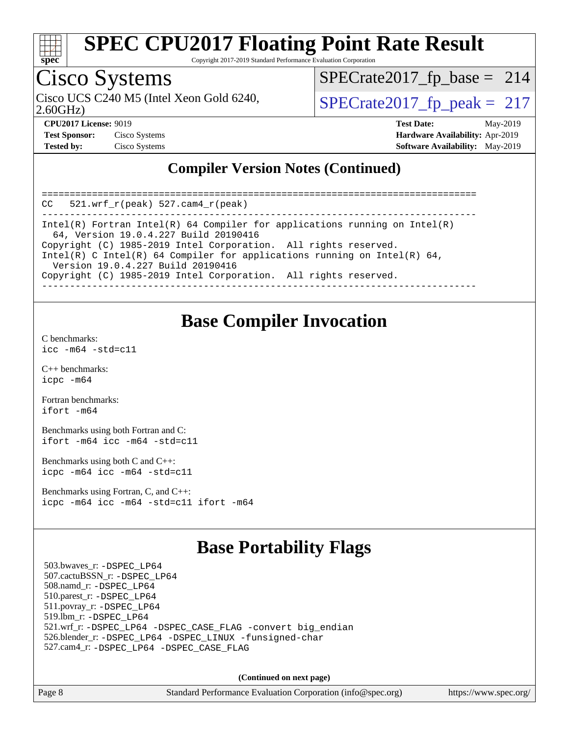

Copyright 2017-2019 Standard Performance Evaluation Corporation

## Cisco Systems

Cisco UCS C240 M5 (Intel Xeon Gold 6240,  $\vert$ [SPECrate2017\\_fp\\_peak =](http://www.spec.org/auto/cpu2017/Docs/result-fields.html#SPECrate2017fppeak) 217

[SPECrate2017\\_fp\\_base =](http://www.spec.org/auto/cpu2017/Docs/result-fields.html#SPECrate2017fpbase) 214

2.60GHz)

**[Test Sponsor:](http://www.spec.org/auto/cpu2017/Docs/result-fields.html#TestSponsor)** Cisco Systems **[Hardware Availability:](http://www.spec.org/auto/cpu2017/Docs/result-fields.html#HardwareAvailability)** Apr-2019

**[CPU2017 License:](http://www.spec.org/auto/cpu2017/Docs/result-fields.html#CPU2017License)** 9019 **[Test Date:](http://www.spec.org/auto/cpu2017/Docs/result-fields.html#TestDate)** May-2019

**[Tested by:](http://www.spec.org/auto/cpu2017/Docs/result-fields.html#Testedby)** Cisco Systems **[Software Availability:](http://www.spec.org/auto/cpu2017/Docs/result-fields.html#SoftwareAvailability)** May-2019

### **[Compiler Version Notes \(Continued\)](http://www.spec.org/auto/cpu2017/Docs/result-fields.html#CompilerVersionNotes)**

============================================================================== CC 521.wrf\_r(peak) 527.cam4\_r(peak) ------------------------------------------------------------------------------ Intel(R) Fortran Intel(R) 64 Compiler for applications running on Intel(R) 64, Version 19.0.4.227 Build 20190416 Copyright (C) 1985-2019 Intel Corporation. All rights reserved. Intel(R) C Intel(R) 64 Compiler for applications running on Intel(R)  $64$ , Version 19.0.4.227 Build 20190416 Copyright (C) 1985-2019 Intel Corporation. All rights reserved. ------------------------------------------------------------------------------

### **[Base Compiler Invocation](http://www.spec.org/auto/cpu2017/Docs/result-fields.html#BaseCompilerInvocation)**

[C benchmarks](http://www.spec.org/auto/cpu2017/Docs/result-fields.html#Cbenchmarks): [icc -m64 -std=c11](http://www.spec.org/cpu2017/results/res2019q3/cpu2017-20190625-15899.flags.html#user_CCbase_intel_icc_64bit_c11_33ee0cdaae7deeeab2a9725423ba97205ce30f63b9926c2519791662299b76a0318f32ddfffdc46587804de3178b4f9328c46fa7c2b0cd779d7a61945c91cd35)

[C++ benchmarks:](http://www.spec.org/auto/cpu2017/Docs/result-fields.html#CXXbenchmarks) [icpc -m64](http://www.spec.org/cpu2017/results/res2019q3/cpu2017-20190625-15899.flags.html#user_CXXbase_intel_icpc_64bit_4ecb2543ae3f1412ef961e0650ca070fec7b7afdcd6ed48761b84423119d1bf6bdf5cad15b44d48e7256388bc77273b966e5eb805aefd121eb22e9299b2ec9d9)

[Fortran benchmarks](http://www.spec.org/auto/cpu2017/Docs/result-fields.html#Fortranbenchmarks): [ifort -m64](http://www.spec.org/cpu2017/results/res2019q3/cpu2017-20190625-15899.flags.html#user_FCbase_intel_ifort_64bit_24f2bb282fbaeffd6157abe4f878425411749daecae9a33200eee2bee2fe76f3b89351d69a8130dd5949958ce389cf37ff59a95e7a40d588e8d3a57e0c3fd751)

[Benchmarks using both Fortran and C](http://www.spec.org/auto/cpu2017/Docs/result-fields.html#BenchmarksusingbothFortranandC): [ifort -m64](http://www.spec.org/cpu2017/results/res2019q3/cpu2017-20190625-15899.flags.html#user_CC_FCbase_intel_ifort_64bit_24f2bb282fbaeffd6157abe4f878425411749daecae9a33200eee2bee2fe76f3b89351d69a8130dd5949958ce389cf37ff59a95e7a40d588e8d3a57e0c3fd751) [icc -m64 -std=c11](http://www.spec.org/cpu2017/results/res2019q3/cpu2017-20190625-15899.flags.html#user_CC_FCbase_intel_icc_64bit_c11_33ee0cdaae7deeeab2a9725423ba97205ce30f63b9926c2519791662299b76a0318f32ddfffdc46587804de3178b4f9328c46fa7c2b0cd779d7a61945c91cd35)

[Benchmarks using both C and C++](http://www.spec.org/auto/cpu2017/Docs/result-fields.html#BenchmarksusingbothCandCXX): [icpc -m64](http://www.spec.org/cpu2017/results/res2019q3/cpu2017-20190625-15899.flags.html#user_CC_CXXbase_intel_icpc_64bit_4ecb2543ae3f1412ef961e0650ca070fec7b7afdcd6ed48761b84423119d1bf6bdf5cad15b44d48e7256388bc77273b966e5eb805aefd121eb22e9299b2ec9d9) [icc -m64 -std=c11](http://www.spec.org/cpu2017/results/res2019q3/cpu2017-20190625-15899.flags.html#user_CC_CXXbase_intel_icc_64bit_c11_33ee0cdaae7deeeab2a9725423ba97205ce30f63b9926c2519791662299b76a0318f32ddfffdc46587804de3178b4f9328c46fa7c2b0cd779d7a61945c91cd35)

[Benchmarks using Fortran, C, and C++:](http://www.spec.org/auto/cpu2017/Docs/result-fields.html#BenchmarksusingFortranCandCXX) [icpc -m64](http://www.spec.org/cpu2017/results/res2019q3/cpu2017-20190625-15899.flags.html#user_CC_CXX_FCbase_intel_icpc_64bit_4ecb2543ae3f1412ef961e0650ca070fec7b7afdcd6ed48761b84423119d1bf6bdf5cad15b44d48e7256388bc77273b966e5eb805aefd121eb22e9299b2ec9d9) [icc -m64 -std=c11](http://www.spec.org/cpu2017/results/res2019q3/cpu2017-20190625-15899.flags.html#user_CC_CXX_FCbase_intel_icc_64bit_c11_33ee0cdaae7deeeab2a9725423ba97205ce30f63b9926c2519791662299b76a0318f32ddfffdc46587804de3178b4f9328c46fa7c2b0cd779d7a61945c91cd35) [ifort -m64](http://www.spec.org/cpu2017/results/res2019q3/cpu2017-20190625-15899.flags.html#user_CC_CXX_FCbase_intel_ifort_64bit_24f2bb282fbaeffd6157abe4f878425411749daecae9a33200eee2bee2fe76f3b89351d69a8130dd5949958ce389cf37ff59a95e7a40d588e8d3a57e0c3fd751)

### **[Base Portability Flags](http://www.spec.org/auto/cpu2017/Docs/result-fields.html#BasePortabilityFlags)**

 503.bwaves\_r: [-DSPEC\\_LP64](http://www.spec.org/cpu2017/results/res2019q3/cpu2017-20190625-15899.flags.html#suite_basePORTABILITY503_bwaves_r_DSPEC_LP64) 507.cactuBSSN\_r: [-DSPEC\\_LP64](http://www.spec.org/cpu2017/results/res2019q3/cpu2017-20190625-15899.flags.html#suite_basePORTABILITY507_cactuBSSN_r_DSPEC_LP64) 508.namd\_r: [-DSPEC\\_LP64](http://www.spec.org/cpu2017/results/res2019q3/cpu2017-20190625-15899.flags.html#suite_basePORTABILITY508_namd_r_DSPEC_LP64) 510.parest\_r: [-DSPEC\\_LP64](http://www.spec.org/cpu2017/results/res2019q3/cpu2017-20190625-15899.flags.html#suite_basePORTABILITY510_parest_r_DSPEC_LP64) 511.povray\_r: [-DSPEC\\_LP64](http://www.spec.org/cpu2017/results/res2019q3/cpu2017-20190625-15899.flags.html#suite_basePORTABILITY511_povray_r_DSPEC_LP64) 519.lbm\_r: [-DSPEC\\_LP64](http://www.spec.org/cpu2017/results/res2019q3/cpu2017-20190625-15899.flags.html#suite_basePORTABILITY519_lbm_r_DSPEC_LP64) 521.wrf\_r: [-DSPEC\\_LP64](http://www.spec.org/cpu2017/results/res2019q3/cpu2017-20190625-15899.flags.html#suite_basePORTABILITY521_wrf_r_DSPEC_LP64) [-DSPEC\\_CASE\\_FLAG](http://www.spec.org/cpu2017/results/res2019q3/cpu2017-20190625-15899.flags.html#b521.wrf_r_baseCPORTABILITY_DSPEC_CASE_FLAG) [-convert big\\_endian](http://www.spec.org/cpu2017/results/res2019q3/cpu2017-20190625-15899.flags.html#user_baseFPORTABILITY521_wrf_r_convert_big_endian_c3194028bc08c63ac5d04de18c48ce6d347e4e562e8892b8bdbdc0214820426deb8554edfa529a3fb25a586e65a3d812c835984020483e7e73212c4d31a38223) 526.blender\_r: [-DSPEC\\_LP64](http://www.spec.org/cpu2017/results/res2019q3/cpu2017-20190625-15899.flags.html#suite_basePORTABILITY526_blender_r_DSPEC_LP64) [-DSPEC\\_LINUX](http://www.spec.org/cpu2017/results/res2019q3/cpu2017-20190625-15899.flags.html#b526.blender_r_baseCPORTABILITY_DSPEC_LINUX) [-funsigned-char](http://www.spec.org/cpu2017/results/res2019q3/cpu2017-20190625-15899.flags.html#user_baseCPORTABILITY526_blender_r_force_uchar_40c60f00ab013830e2dd6774aeded3ff59883ba5a1fc5fc14077f794d777847726e2a5858cbc7672e36e1b067e7e5c1d9a74f7176df07886a243d7cc18edfe67) 527.cam4\_r: [-DSPEC\\_LP64](http://www.spec.org/cpu2017/results/res2019q3/cpu2017-20190625-15899.flags.html#suite_basePORTABILITY527_cam4_r_DSPEC_LP64) [-DSPEC\\_CASE\\_FLAG](http://www.spec.org/cpu2017/results/res2019q3/cpu2017-20190625-15899.flags.html#b527.cam4_r_baseCPORTABILITY_DSPEC_CASE_FLAG)

**(Continued on next page)**

Page 8 Standard Performance Evaluation Corporation [\(info@spec.org\)](mailto:info@spec.org) <https://www.spec.org/>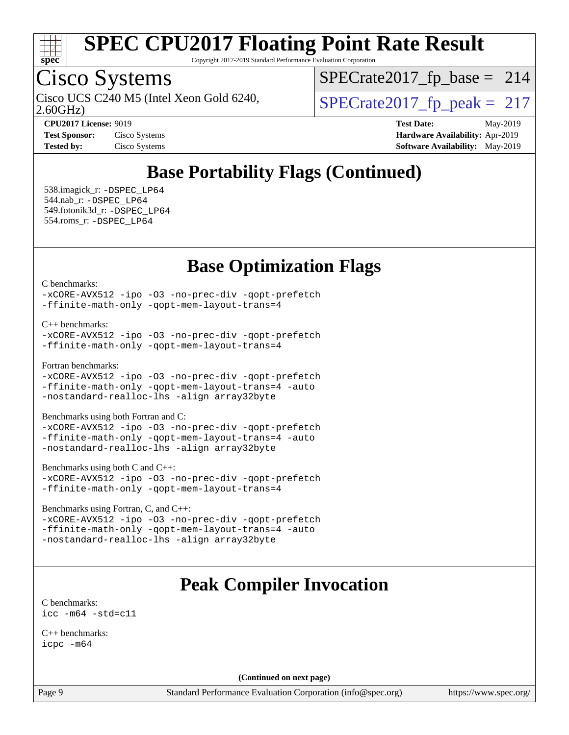

Copyright 2017-2019 Standard Performance Evaluation Corporation

## Cisco Systems

2.60GHz) Cisco UCS C240 M5 (Intel Xeon Gold 6240,  $\vert$ [SPECrate2017\\_fp\\_peak =](http://www.spec.org/auto/cpu2017/Docs/result-fields.html#SPECrate2017fppeak) 217

 $SPECTate2017_fp\_base = 214$ 

| <b>Test Sponsor:</b> | Cisco Syste |
|----------------------|-------------|
| Tested by:           | Cisco Syste |

**[CPU2017 License:](http://www.spec.org/auto/cpu2017/Docs/result-fields.html#CPU2017License)** 9019 **[Test Date:](http://www.spec.org/auto/cpu2017/Docs/result-fields.html#TestDate)** May-2019 **[Test Sponsor:](http://www.spec.org/auto/cpu2017/Docs/result-fields.html#TestSponsor)** Cisco Systems **[Hardware Availability:](http://www.spec.org/auto/cpu2017/Docs/result-fields.html#HardwareAvailability)** Apr-2019 **[Tested by:](http://www.spec.org/auto/cpu2017/Docs/result-fields.html#Testedby)** Cisco [Software Availability:](http://www.spec.org/auto/cpu2017/Docs/result-fields.html#SoftwareAvailability) May-2019

## **[Base Portability Flags \(Continued\)](http://www.spec.org/auto/cpu2017/Docs/result-fields.html#BasePortabilityFlags)**

 538.imagick\_r: [-DSPEC\\_LP64](http://www.spec.org/cpu2017/results/res2019q3/cpu2017-20190625-15899.flags.html#suite_basePORTABILITY538_imagick_r_DSPEC_LP64) 544.nab\_r: [-DSPEC\\_LP64](http://www.spec.org/cpu2017/results/res2019q3/cpu2017-20190625-15899.flags.html#suite_basePORTABILITY544_nab_r_DSPEC_LP64) 549.fotonik3d\_r: [-DSPEC\\_LP64](http://www.spec.org/cpu2017/results/res2019q3/cpu2017-20190625-15899.flags.html#suite_basePORTABILITY549_fotonik3d_r_DSPEC_LP64) 554.roms\_r: [-DSPEC\\_LP64](http://www.spec.org/cpu2017/results/res2019q3/cpu2017-20190625-15899.flags.html#suite_basePORTABILITY554_roms_r_DSPEC_LP64)

### **[Base Optimization Flags](http://www.spec.org/auto/cpu2017/Docs/result-fields.html#BaseOptimizationFlags)**

[C benchmarks](http://www.spec.org/auto/cpu2017/Docs/result-fields.html#Cbenchmarks):

[-xCORE-AVX512](http://www.spec.org/cpu2017/results/res2019q3/cpu2017-20190625-15899.flags.html#user_CCbase_f-xCORE-AVX512) [-ipo](http://www.spec.org/cpu2017/results/res2019q3/cpu2017-20190625-15899.flags.html#user_CCbase_f-ipo) [-O3](http://www.spec.org/cpu2017/results/res2019q3/cpu2017-20190625-15899.flags.html#user_CCbase_f-O3) [-no-prec-div](http://www.spec.org/cpu2017/results/res2019q3/cpu2017-20190625-15899.flags.html#user_CCbase_f-no-prec-div) [-qopt-prefetch](http://www.spec.org/cpu2017/results/res2019q3/cpu2017-20190625-15899.flags.html#user_CCbase_f-qopt-prefetch) [-ffinite-math-only](http://www.spec.org/cpu2017/results/res2019q3/cpu2017-20190625-15899.flags.html#user_CCbase_f_finite_math_only_cb91587bd2077682c4b38af759c288ed7c732db004271a9512da14a4f8007909a5f1427ecbf1a0fb78ff2a814402c6114ac565ca162485bbcae155b5e4258871) [-qopt-mem-layout-trans=4](http://www.spec.org/cpu2017/results/res2019q3/cpu2017-20190625-15899.flags.html#user_CCbase_f-qopt-mem-layout-trans_fa39e755916c150a61361b7846f310bcdf6f04e385ef281cadf3647acec3f0ae266d1a1d22d972a7087a248fd4e6ca390a3634700869573d231a252c784941a8)

[C++ benchmarks:](http://www.spec.org/auto/cpu2017/Docs/result-fields.html#CXXbenchmarks)

```
-xCORE-AVX512 -ipo -O3 -no-prec-div -qopt-prefetch
-ffinite-math-only -qopt-mem-layout-trans=4
```
[Fortran benchmarks](http://www.spec.org/auto/cpu2017/Docs/result-fields.html#Fortranbenchmarks):

```
-xCORE-AVX512 -ipo -O3 -no-prec-div -qopt-prefetch
-ffinite-math-only -qopt-mem-layout-trans=4 -auto
-nostandard-realloc-lhs -align array32byte
```
[Benchmarks using both Fortran and C](http://www.spec.org/auto/cpu2017/Docs/result-fields.html#BenchmarksusingbothFortranandC):

[-xCORE-AVX512](http://www.spec.org/cpu2017/results/res2019q3/cpu2017-20190625-15899.flags.html#user_CC_FCbase_f-xCORE-AVX512) [-ipo](http://www.spec.org/cpu2017/results/res2019q3/cpu2017-20190625-15899.flags.html#user_CC_FCbase_f-ipo) [-O3](http://www.spec.org/cpu2017/results/res2019q3/cpu2017-20190625-15899.flags.html#user_CC_FCbase_f-O3) [-no-prec-div](http://www.spec.org/cpu2017/results/res2019q3/cpu2017-20190625-15899.flags.html#user_CC_FCbase_f-no-prec-div) [-qopt-prefetch](http://www.spec.org/cpu2017/results/res2019q3/cpu2017-20190625-15899.flags.html#user_CC_FCbase_f-qopt-prefetch) [-ffinite-math-only](http://www.spec.org/cpu2017/results/res2019q3/cpu2017-20190625-15899.flags.html#user_CC_FCbase_f_finite_math_only_cb91587bd2077682c4b38af759c288ed7c732db004271a9512da14a4f8007909a5f1427ecbf1a0fb78ff2a814402c6114ac565ca162485bbcae155b5e4258871) [-qopt-mem-layout-trans=4](http://www.spec.org/cpu2017/results/res2019q3/cpu2017-20190625-15899.flags.html#user_CC_FCbase_f-qopt-mem-layout-trans_fa39e755916c150a61361b7846f310bcdf6f04e385ef281cadf3647acec3f0ae266d1a1d22d972a7087a248fd4e6ca390a3634700869573d231a252c784941a8) [-auto](http://www.spec.org/cpu2017/results/res2019q3/cpu2017-20190625-15899.flags.html#user_CC_FCbase_f-auto) [-nostandard-realloc-lhs](http://www.spec.org/cpu2017/results/res2019q3/cpu2017-20190625-15899.flags.html#user_CC_FCbase_f_2003_std_realloc_82b4557e90729c0f113870c07e44d33d6f5a304b4f63d4c15d2d0f1fab99f5daaed73bdb9275d9ae411527f28b936061aa8b9c8f2d63842963b95c9dd6426b8a) [-align array32byte](http://www.spec.org/cpu2017/results/res2019q3/cpu2017-20190625-15899.flags.html#user_CC_FCbase_align_array32byte_b982fe038af199962ba9a80c053b8342c548c85b40b8e86eb3cc33dee0d7986a4af373ac2d51c3f7cf710a18d62fdce2948f201cd044323541f22fc0fffc51b6)

[Benchmarks using both C and C++](http://www.spec.org/auto/cpu2017/Docs/result-fields.html#BenchmarksusingbothCandCXX):

```
-xCORE-AVX512 -ipo -O3 -no-prec-div -qopt-prefetch
-ffinite-math-only -qopt-mem-layout-trans=4
```
[Benchmarks using Fortran, C, and C++:](http://www.spec.org/auto/cpu2017/Docs/result-fields.html#BenchmarksusingFortranCandCXX)

[-xCORE-AVX512](http://www.spec.org/cpu2017/results/res2019q3/cpu2017-20190625-15899.flags.html#user_CC_CXX_FCbase_f-xCORE-AVX512) [-ipo](http://www.spec.org/cpu2017/results/res2019q3/cpu2017-20190625-15899.flags.html#user_CC_CXX_FCbase_f-ipo) [-O3](http://www.spec.org/cpu2017/results/res2019q3/cpu2017-20190625-15899.flags.html#user_CC_CXX_FCbase_f-O3) [-no-prec-div](http://www.spec.org/cpu2017/results/res2019q3/cpu2017-20190625-15899.flags.html#user_CC_CXX_FCbase_f-no-prec-div) [-qopt-prefetch](http://www.spec.org/cpu2017/results/res2019q3/cpu2017-20190625-15899.flags.html#user_CC_CXX_FCbase_f-qopt-prefetch) [-ffinite-math-only](http://www.spec.org/cpu2017/results/res2019q3/cpu2017-20190625-15899.flags.html#user_CC_CXX_FCbase_f_finite_math_only_cb91587bd2077682c4b38af759c288ed7c732db004271a9512da14a4f8007909a5f1427ecbf1a0fb78ff2a814402c6114ac565ca162485bbcae155b5e4258871) [-qopt-mem-layout-trans=4](http://www.spec.org/cpu2017/results/res2019q3/cpu2017-20190625-15899.flags.html#user_CC_CXX_FCbase_f-qopt-mem-layout-trans_fa39e755916c150a61361b7846f310bcdf6f04e385ef281cadf3647acec3f0ae266d1a1d22d972a7087a248fd4e6ca390a3634700869573d231a252c784941a8) [-auto](http://www.spec.org/cpu2017/results/res2019q3/cpu2017-20190625-15899.flags.html#user_CC_CXX_FCbase_f-auto) [-nostandard-realloc-lhs](http://www.spec.org/cpu2017/results/res2019q3/cpu2017-20190625-15899.flags.html#user_CC_CXX_FCbase_f_2003_std_realloc_82b4557e90729c0f113870c07e44d33d6f5a304b4f63d4c15d2d0f1fab99f5daaed73bdb9275d9ae411527f28b936061aa8b9c8f2d63842963b95c9dd6426b8a) [-align array32byte](http://www.spec.org/cpu2017/results/res2019q3/cpu2017-20190625-15899.flags.html#user_CC_CXX_FCbase_align_array32byte_b982fe038af199962ba9a80c053b8342c548c85b40b8e86eb3cc33dee0d7986a4af373ac2d51c3f7cf710a18d62fdce2948f201cd044323541f22fc0fffc51b6)

### **[Peak Compiler Invocation](http://www.spec.org/auto/cpu2017/Docs/result-fields.html#PeakCompilerInvocation)**

[C benchmarks](http://www.spec.org/auto/cpu2017/Docs/result-fields.html#Cbenchmarks): [icc -m64 -std=c11](http://www.spec.org/cpu2017/results/res2019q3/cpu2017-20190625-15899.flags.html#user_CCpeak_intel_icc_64bit_c11_33ee0cdaae7deeeab2a9725423ba97205ce30f63b9926c2519791662299b76a0318f32ddfffdc46587804de3178b4f9328c46fa7c2b0cd779d7a61945c91cd35)

[C++ benchmarks:](http://www.spec.org/auto/cpu2017/Docs/result-fields.html#CXXbenchmarks) [icpc -m64](http://www.spec.org/cpu2017/results/res2019q3/cpu2017-20190625-15899.flags.html#user_CXXpeak_intel_icpc_64bit_4ecb2543ae3f1412ef961e0650ca070fec7b7afdcd6ed48761b84423119d1bf6bdf5cad15b44d48e7256388bc77273b966e5eb805aefd121eb22e9299b2ec9d9)

**(Continued on next page)**

Page 9 Standard Performance Evaluation Corporation [\(info@spec.org\)](mailto:info@spec.org) <https://www.spec.org/>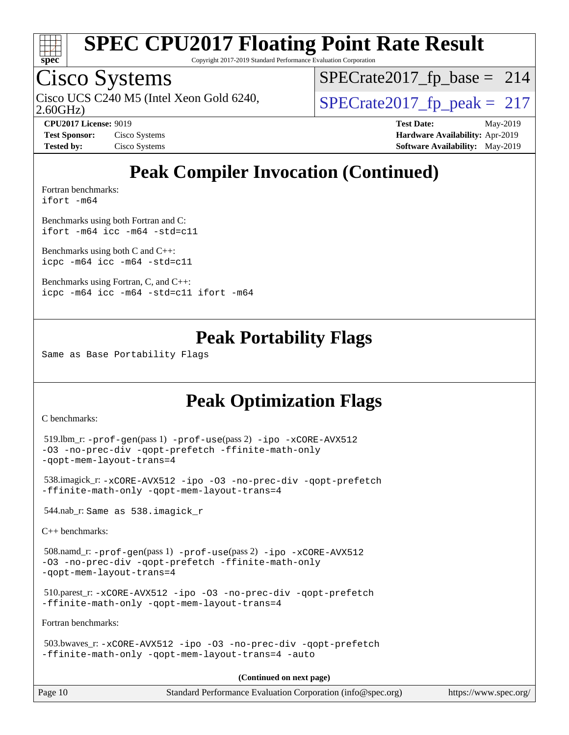

Copyright 2017-2019 Standard Performance Evaluation Corporation

## Cisco Systems

2.60GHz) Cisco UCS C240 M5 (Intel Xeon Gold 6240,  $\vert$ [SPECrate2017\\_fp\\_peak =](http://www.spec.org/auto/cpu2017/Docs/result-fields.html#SPECrate2017fppeak) 217

 $SPECTate2017_fp\_base = 214$ 

**[CPU2017 License:](http://www.spec.org/auto/cpu2017/Docs/result-fields.html#CPU2017License)** 9019 **[Test Date:](http://www.spec.org/auto/cpu2017/Docs/result-fields.html#TestDate)** May-2019 **[Test Sponsor:](http://www.spec.org/auto/cpu2017/Docs/result-fields.html#TestSponsor)** Cisco Systems **[Hardware Availability:](http://www.spec.org/auto/cpu2017/Docs/result-fields.html#HardwareAvailability)** Apr-2019 **[Tested by:](http://www.spec.org/auto/cpu2017/Docs/result-fields.html#Testedby)** Cisco Systems **[Software Availability:](http://www.spec.org/auto/cpu2017/Docs/result-fields.html#SoftwareAvailability)** May-2019

## **[Peak Compiler Invocation \(Continued\)](http://www.spec.org/auto/cpu2017/Docs/result-fields.html#PeakCompilerInvocation)**

[Fortran benchmarks](http://www.spec.org/auto/cpu2017/Docs/result-fields.html#Fortranbenchmarks): [ifort -m64](http://www.spec.org/cpu2017/results/res2019q3/cpu2017-20190625-15899.flags.html#user_FCpeak_intel_ifort_64bit_24f2bb282fbaeffd6157abe4f878425411749daecae9a33200eee2bee2fe76f3b89351d69a8130dd5949958ce389cf37ff59a95e7a40d588e8d3a57e0c3fd751)

[Benchmarks using both Fortran and C](http://www.spec.org/auto/cpu2017/Docs/result-fields.html#BenchmarksusingbothFortranandC): [ifort -m64](http://www.spec.org/cpu2017/results/res2019q3/cpu2017-20190625-15899.flags.html#user_CC_FCpeak_intel_ifort_64bit_24f2bb282fbaeffd6157abe4f878425411749daecae9a33200eee2bee2fe76f3b89351d69a8130dd5949958ce389cf37ff59a95e7a40d588e8d3a57e0c3fd751) [icc -m64 -std=c11](http://www.spec.org/cpu2017/results/res2019q3/cpu2017-20190625-15899.flags.html#user_CC_FCpeak_intel_icc_64bit_c11_33ee0cdaae7deeeab2a9725423ba97205ce30f63b9926c2519791662299b76a0318f32ddfffdc46587804de3178b4f9328c46fa7c2b0cd779d7a61945c91cd35)

[Benchmarks using both C and C++](http://www.spec.org/auto/cpu2017/Docs/result-fields.html#BenchmarksusingbothCandCXX): [icpc -m64](http://www.spec.org/cpu2017/results/res2019q3/cpu2017-20190625-15899.flags.html#user_CC_CXXpeak_intel_icpc_64bit_4ecb2543ae3f1412ef961e0650ca070fec7b7afdcd6ed48761b84423119d1bf6bdf5cad15b44d48e7256388bc77273b966e5eb805aefd121eb22e9299b2ec9d9) [icc -m64 -std=c11](http://www.spec.org/cpu2017/results/res2019q3/cpu2017-20190625-15899.flags.html#user_CC_CXXpeak_intel_icc_64bit_c11_33ee0cdaae7deeeab2a9725423ba97205ce30f63b9926c2519791662299b76a0318f32ddfffdc46587804de3178b4f9328c46fa7c2b0cd779d7a61945c91cd35)

[Benchmarks using Fortran, C, and C++:](http://www.spec.org/auto/cpu2017/Docs/result-fields.html#BenchmarksusingFortranCandCXX) [icpc -m64](http://www.spec.org/cpu2017/results/res2019q3/cpu2017-20190625-15899.flags.html#user_CC_CXX_FCpeak_intel_icpc_64bit_4ecb2543ae3f1412ef961e0650ca070fec7b7afdcd6ed48761b84423119d1bf6bdf5cad15b44d48e7256388bc77273b966e5eb805aefd121eb22e9299b2ec9d9) [icc -m64 -std=c11](http://www.spec.org/cpu2017/results/res2019q3/cpu2017-20190625-15899.flags.html#user_CC_CXX_FCpeak_intel_icc_64bit_c11_33ee0cdaae7deeeab2a9725423ba97205ce30f63b9926c2519791662299b76a0318f32ddfffdc46587804de3178b4f9328c46fa7c2b0cd779d7a61945c91cd35) [ifort -m64](http://www.spec.org/cpu2017/results/res2019q3/cpu2017-20190625-15899.flags.html#user_CC_CXX_FCpeak_intel_ifort_64bit_24f2bb282fbaeffd6157abe4f878425411749daecae9a33200eee2bee2fe76f3b89351d69a8130dd5949958ce389cf37ff59a95e7a40d588e8d3a57e0c3fd751)

### **[Peak Portability Flags](http://www.spec.org/auto/cpu2017/Docs/result-fields.html#PeakPortabilityFlags)**

Same as Base Portability Flags

### **[Peak Optimization Flags](http://www.spec.org/auto/cpu2017/Docs/result-fields.html#PeakOptimizationFlags)**

[C benchmarks](http://www.spec.org/auto/cpu2017/Docs/result-fields.html#Cbenchmarks):

```
Page 10 Standard Performance Evaluation Corporation (info@spec.org) https://www.spec.org/
  519.lbm_r: -prof-gen(pass 1) -prof-use(pass 2) -ipo -xCORE-AVX512
-O3 -no-prec-div -qopt-prefetch -ffinite-math-only
-qopt-mem-layout-trans=4
  538.imagick_r: -xCORE-AVX512 -ipo -O3 -no-prec-div -qopt-prefetch
-ffinite-math-only -qopt-mem-layout-trans=4
  544.nab_r: Same as 538.imagick_r
C++ benchmarks: 
  508.namd_r: -prof-gen(pass 1) -prof-use(pass 2) -ipo -xCORE-AVX512
-O3 -no-prec-div -qopt-prefetch -ffinite-math-only
-qopt-mem-layout-trans=4
  510.parest_r: -xCORE-AVX512 -ipo -O3 -no-prec-div -qopt-prefetch
-ffinite-math-only -qopt-mem-layout-trans=4
Fortran benchmarks: 
  503.bwaves_r: -xCORE-AVX512 -ipo -O3 -no-prec-div -qopt-prefetch
-ffinite-math-only -qopt-mem-layout-trans=4 -auto
                                       (Continued on next page)
```